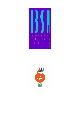

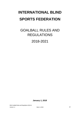# **INTERNATIONAL BLIND SPORTS FEDERATION**

# GOALBALL RULES AND REGULATIONS 2018-2021

*January 1, 2018*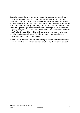Goalball is a game played by two teams of three players each, with a maximum of three substitutes for each team. The game is played in a gymnasium on a court measuring 18.0m x 9.0m, which is divided into two halves by a centre line. Teams remain in their own half of the court during the game. The purpose of the game is for each team to throw the ball by hand, along the floor, with the intent of getting the ball across the opponent's goal line while the other team attempts to prevent this from happening. The goals and nets extend right across the 9.0m width at each end of the court. The ball is made of hard rubber and has holes in it that allow bells inside the ball to be heard as the ball moves. The rules of the game are controlled by the International Blind Sports Federation (IBSA).

If there is any misunderstanding between the English version of this rules document or any translated versions of this rules document, the English version will be used.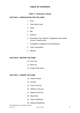# **TABLE OF CONTENTS**

## **PART A - GOALBALL RULES**

#### **SECTION A - PREPARATION FOR THE GAME**

- 1 Court
- 2 Team Bench Area
- 3 Goals
- 4 Ball
- 5 Uniforms
- 6 Eyeshades / Eye Patches / Eyeglasses and Contact Lenses / Hearing Aids
- 7 Competition Categories and Classification
- 8 Team Composition
- 9 Officials

#### **SECTION B - BEFORE THE GAME**

- 10 Coin Toss
- 11 Warm Up
- 12 Length of the Game

#### **SECTION C - DURING THE GAME**

- 13 Game Protocol
- 14 Scoring
- 15 Team Time-Out
- 16 Official's Time-Out
- 17 Medical Time-Out
- 18 Blood Rule
- 19 Team Substitution
- 20 Medical Substitution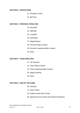#### **SECTION D - INFRACTIONS**

- 21 Premature Throw
- 22 Ball Over

#### **SECTION E - PERSONAL PENALTIES**

- 23 Short Ball
- 24 High Ball
- 25 Long Ball
- 26 Eyeshades
- 27 Illegal Defence
- 28 Personal Delay of Game
- 29 Personal Unsportsmanlike Conduct
- 30 Noise

### **SECTION F - TEAM PENALTIES**

- 31 Ten Seconds
- 32 Team Delay of Game
- 33 Team Unsportsmanlike Conduct
- 34 Illegal Coaching
- 35 Noise

#### **SECTION G - END OF THE GAME**

- 36 Overtime
- 37 Extra Throws
- 38 Sudden Death Extra Throws
- 39 Signing the Score Sheet and Protest Procedures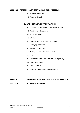# **SECTION H - REFEREES' AUTHORITY AND ABUSE OF OFFICIALS**

- 40 Referees' Authority
- 41 Abuse of Officials

### **PART B – TOURNAMENT REGULATIONS**

- 42 IBSA Sanctioned Events or Paralympic Games
- 43 Facilities and Equipment
- 44 Accommodations
- 45 Officials
- 46 Organisation (Non-Paralympic Events)
- 47 Qualifying Standards
- 48 Conduct of Tournaments
- 49 Ranking of Teams in a Round Robin
- 50 Forfeits
- 51 Maximum Number of Games per Team per Day
- 52 Gross Misconduct
- 53 Game Protocol
- 54 Exceptions to Tournament Regulations

#### **Appendix 1 COURT DIAGRAM, HAND SIGNALS, GOAL, BALL OUT**

#### **Appendix 2 GLOSSARY OF TERMS**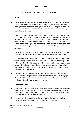# **GOALBALL RULES**

# **SECTION A - PREPARATION FOR THE GAME**

### **1 Court**

- 1.1 The dimensions: The court will be a rectangle 18.0 m long by 9.0m wide (+/- 0.05m). Measurements are to the outside edges. Nothing except the court markings will be allowed as markings on the court. (See diagram at Appendix 1 for markings and measurements). The court is divided every 3.0m along its length to give six areas.
- 1.2 In front of the goals at each end of the court are Team Areas, 6.0 m, (+-0.05 m) long by 9.0 m (+-0.05 m) wide. The Team Areas are divided in to two equal sections (3.0 m (+-0.05 m) long and 9.0 m (+-0.05 m) wide). These sections will be called the Orientation Area and the Landing Area. The Orientation Area is closest to the goal and the Landing Area is furthest from the goal. The team areas have player orientation lines as per the court diagram listed in Appendix 1.
- 1.3 The Neutral Area is the middle area of the court. It is 6.0m (+-0.05m) long by 9.0m (+-0.05m) wide and is divided in two by the centre line. (see Appendix 1)
- 1.4 All lines will be 0.05m in width (+/- 0.01m) and will be marked with tape. They will have string under them to assist with player orientation. The string will be 0.003m (+/- 0.0005m thickness) and will be placed under the top layer of tape. A tape colour should be used that provides contrast with the floor and ball, and improves the ability of referees and sighted spectators to better observe the ball and court markings.
- 1.5 The floor of the court must have a smooth surface, and be approved by the IBSA Technical Delegate (for IBSA sanctioned competitions). For Paralympic Games, World Championships and all other Championships, a wood, plastic or synthetic resilient flooring surface will be used.

### **2 Team Bench Area**

- 2.1 Each team will have a team bench area which will be positioned on either side of the officials' table, a minimum of 3.0m from the court's side line. It will be 4.0m long (+/-0.05m) and 3.0m (+/-.05m) deep and will be marked all around by a tape line with string. (See Appendix 1)
- 2.2 The team bench areas will be at the same end of the court as the players. The bench will be in line with the goal line. (See Appendix 1)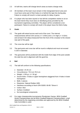- 2.3 At half time, teams will change bench areas as teams change ends.
- 2.4 All members of the team must remain in their designated bench area and must have some part of their body on or behind the tape line during play. Failure to comply will result in a team penalty for delay of game.
- 2.5 If a player who has been injured or has left the competition wishes to sit on the team bench they must wear an identifying jersey provided by the tournament organising committee. The player will be considered a nonparticipant. Failure to comply will result in the player leave the field of play.

# **3 Goals**

- 3.1 The goals will extend across each end of the court. The internal measurements will be 9.0m across (+/- 0.05m) and 1.3 m high (+/- 0.02m) and at least 0.5m deep (measured from the front of the crossbar to the closest rear part of the goal).
- 3.2 The cross bar will be rigid.
- 3.3 The goal posts and cross bar will be round or elliptical and must not exceed 0.15m in diameter.
- 3.4 The goal posts will be positioned with the inside front edge of the post outside the side line and in alignment with the goal line.

#### **4 Ball**

- 4.1 The ball will conform to the following specifications:
	- Diameter: 24-25 cm
	- Circumference: 75.5 cm-78.5 cm
	- Weight: 1.250 gr. (+/- 50 gr).
	- Sound holes: 4 holes in upper hemisphere staggered from 4 holes in lower hemisphere
	- Bells: 2 pieces
	- Elastomer: Natural Rubber (NR)
	- Hardness according to Norm DIN 53505: 80-85 °Shore A
	- Colour: blue
	- Surface: knobbed
	- No toxicological components
- 4.2 For major championship tournaments (Paralympic Games, IBSA Goalball World Championships and all IBSA Goalball Regional Championships), a ball determined by the organising committee and approved by the IBSA Goalball Sub-Committee is used.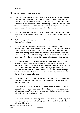# **5 Uniforms**

- 5.1 All players must wear a team jersey.
- 5.2 Each player must have a number permanently fixed on the front and back of the jersey. The numbers will be 20 cms high (+/- 1cm) or approved by the Technical Delegate. Numbers must be 1,2,3,4,5,6,7,8 or 9. The number must not be tucked into the shorts, covered by padding, or otherwise obscured from the view of the referees or table officials. Failure to comply with any of these requirements will result in a team penalty for delay of game.
- 5.3 Players can have their nationality and name written on the back of the jersey either above or below the number. The size of letters cannot exceed 7cms (+/- 0.5cm).
- 5.4 Clothing, equipment and padding must not extend more than 10 cms in any direction from the body.
- 5.5 At the Paralympic Games the game jersey, trousers and socks worn by all competitors on a team must be identical and meet all advertising standards as required by the International Paralympic Committee. Due to the contractual nature of advertising requirements, non-compliant uniform items will not be permitted on the court. Failure to comply with this requirement will result in a team penalty for delay of game and the player will not be permitted to play.
- 5.6 At the IBSA Goalball World Championships the game jersey, trousers and socks worn by all competitors in a team must be identical and meet all advertising standards as required by the International Blind Sports Federation (IBSA). Due to the contractual nature of advertising requirements, noncompliant uniform items will not be permitted on the court. Failure to comply with this requirement will result in a team penalty for delay of game and the player will not be permitted to play.
- 5.7 Any padding or other external items placed on the head may not interfere with eyeshade positioning or function. Failure to comply with this will result in a delay of game penalty.
- 5.8 Teams must have additional uniforms available in case of blood. Teams will replace blood stained uniform items with one that has the same design and colours as the part of the uniform that is replaced. Failure to comply with this will result in a team penalty delay of game.
- 5.9 Teams must also have two sets of jerseys to serve as their home team jersey and their visitor team jersey. The two jerseys will be clearly different in their colour combinations.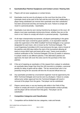# **6 Eyeshades/Eye Patches/ Eyeglasses and Contact Lenses / Hearing Aids**

- 6.1 Players will not wear eyeglasses or contact lenses.
- 6.2 Eyeshades must be worn by all players on the court from the time of the eyeshade check at the start of the half until the end of the half. Additionally, a player being substituted can remove their eyeshade once their substitution has been announced and they are leaving the court. Failure to comply will result in a personal penalty – Eyeshades.
- 6.3 Eyeshades must also be worn during Overtime by all players on the court. All players must wear eyeshades during extra throws, whether they are on the court or not. Failure to comply will result in a personal penalty – Eyeshades.
- 6.4 At all major championship tournaments, all players participating in the game must have their eyes covered by gauze patches, or an equivalent material under the supervision of the IBSA Goalball Technical Delegate or by a person designated for each team, who is known by the Technical Delegate. The Local Organising Committee (LOC) must announce the type, mark or brand of the patches sixty (60) days before the start of the tournament allowing all teams to know which type and brand will be used. Teams must provide a medical certification to the Technical Delegate (TD) two (2) weeks in advance, if a player needs to use different patches. If the alternative patches are approved, the team will cover the extra cost for the purchase of the new patches.
- 6.5 If the act of repairing an eyeshade or if the request from a player to substitute an eyeshade takes longer than forty-five (45) seconds to complete, a personal penalty for delay of game will be called. The ten second timer who is not presently timing the ten seconds will time the 45 second official time out.
- 6.6 Any eyeshades provided by a tournament organiser must be approved by the IBSA Technical Delegate and must be worn by all players. Failure to comply without prior written approval from the Technical Delegate will result in removal of the player from the game. That player can be substituted.
- 6.7 Players cannot wear or use any hearing aids whilst in the Field of Play. Failure to comply will result in a personal unsportsmanlike conduct penalty and the player will be removed from that game. That player can be substituted.

# **7 Competition Categories and Classification**

7.1 Competition will be divided into two categories, male and female.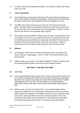7.2 For IBSA sanctioned competition all players must satisfy the IBSA sport class of B1, B2 or B3.

## **8 Team Composition**

- 8.1 At the beginning of every game each team will consist of three (3) players on court with a maximum of three (3) substitutes. A team will be forced to forfeit the game if they cannot start that game with three (3) players on court.
- 8.2 In addition each team may have up to 3 escorts on the bench during the game. The total number of individuals allowed in the team bench areas must be not more than nine, including the three starting players. Failure to comply with this will result in a team penalty delay of game.
- 8.3 The referees must be notified in writing at the coin toss, of any player(s) in the team bench area who are not involved in the game. The player(s) must wear an identifying jersey provided by the organising committee of the tournament, otherwise, they will not be permitted to sit in the Team Bench. Failure to comply will result in the player being required to leave the bench area.

#### **9 Officials**

- 9.1 In Paralympic Games and for all IBSA sanctioned events, each game will have 2 referees, 4 goal judges, 1 scorer, 1 timer, 2 ten second timers and 1 back-up timer.
- 9.2 Officials duties can be found in the IBSA Goalball ITO Manual. Referees and the technical officials' duties can be found in the Referee manual.

# **SECTION B – BEFORE THE GAME**

#### **10 Coin Toss**

- 10.1 A team representative will be present at the correct time and place for the coin toss. Failure to comply will result in a loss of choice of throwing or defending the ball or the choice of court ends left or right of the official's table. If neither team appears for the coin toss, the first team in the scoresheet game information (Team A) will start on the left side of the official's table with the ball.
- 10.2 Before a team can enter the Field of Play, a team representative will be required to validate the score sheet-game information to ensure that correct player names and numbers are recorded as well as the list of coaches and/or escorts who will be permitted on the bench during the game. If the score sheet-game information is not provided, the score sheet-game information from the previous game will be used. If no previous score sheet-game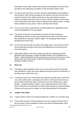information exists, team names and functions as presented in the entry form provided to the organising committee for the tournament will be used.

- 10.3 For games that must have a winner, the team representative will complete a line-up sheet, which will be provided by the referee in the first coin toss and must be returned to the referee at the time of the extra throws coin toss. Failure to comply will result in loss of choice to throw or defend, Score sheet - Game information order will be used to determine the player's order. If neither team provided a line-up sheet, Team A will start with the ball.
- 10.4 The coin toss will be conducted by an official approved or appointed by the Technical Delegate for the tournament.
- 10.5 The winner of the coin toss will have the choice of either throwing or defending the ball first, or they may instead choose which end of the court they would like to start play in (left or right). The remaining choice will be decided by the other team.
- 10.6 At the end of the first half, the teams will change ends. The first throw of the second half will be thrown by the team that defended the first throw at the start of the game.
- 10.7 Only players listed on the line-up sheet used for the actual game will be allowed to play that game. All team members listed on the Goalball Score Sheet – Game Information for the actual game must be on the court or on the team bench at the start of play. Failure to comply will result in one team penalty for Delay of Game.

# **11 Warm Up**

- 11.1 The players will be allowed a warm up on court at the end of the court that they will defend. Teams will not be allowed to throw the ball in the direction of the other team's half of the court.
- 11.2 If, during the warm up, a team throws the ball into the other team's half of the court, they will be given a warning by the referee. If the same team throws a second ball into the other team's half of the court they will be given a team penalty – Unsportsmanlike Conduct. Every subsequent throw to the other team's half of the court will lead to a further team penalty for Unsportsmanlike Conduct and may result in a player or coach being ejected from the game.

# **12 Length of the Game**

- 12.1 A game will be a total of 24 minutes divided into 2 halves of 12 minutes each.
- IBSA Goalball Rules and Regulations 2018-21 12.2 There will be at least 5 minutes between the end of a game and the start of the next game. At the Paralympic Games and World Championships, there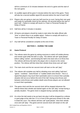will be a minimum of 15 minutes between the end of a game and the start of the next game.

- 12.3 An audible signal will be given 5 minutes before the start of the game. There will also be a second audible signal 90 seconds before the start of each half.
- 12.4 Players who are going to start any half must be on court, facing their own goal and ready for eyeshade check by the referees, 90 seconds before the start of each half – Failure to comply will result in a Team or Personal Penalty for Delay of Game.
- 12.5 Half time will be 3 minutes in duration.
- 12.6 All teams and players should be ready to start when the table official calls "time" or where there is an audible signal - Failure to comply will result in a Team or Personal Penalty for Delay of Game.
- 12.7 Any half will be considered complete at the end of time.

# **SECTION C – DURING THE GAME**

### **13 Game Protocol**

- 13.1 The referee starts the game by asking everyone to switch off mobile phones and remain quiet while the ball is in play. The referee will call "quiet please" before calling "centre", and throwing the ball to the team who is to throw first. The referee will throw the ball to the player who is closest to the centre position. The referee will then blow their whistle three times and call "play".
- 13.2 The main clock and the ten second clock will start on the call "play".
- 13.3 The referee will complete any half by whistling once and calling "half time", "game", "overtime", "extra throws" or "sudden death extra throws". This is a signal that players may touch their eyeshades and is to ensure that a penalty situation did not occur before the end of the half. During extra throws and between extra-throws and sudden-death extra throws players are not allowed to touch their eyeshades.
- 13.4 The game clock and the ten second clock will be stopped whenever the referee blows their whistle and started again on the call "play" except during a penalty situation. The game clock is stopped during a penalty situation.
- 13.5 At a time the ball needs to be put back into play it will be dropped by a referee or goal judge at the side line 1.5 m in front of the goal post closest to the side it exited the court. The referee will then call "quiet please", blow their whistle once and call "play". The game and ten second clock will restart on the call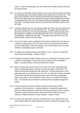"play". In case of the ball goes over the centre line and after the goal the team can keep the ball.

- 13.6 If, in the act of throwing, a ball is thrown out over the side line without touching the defending team, the referee will blow their whistle once and call "out". The game clock will stop. The ten second clock will also be stopped and reset. Any time the ball needs to be put back into play it will be dropped by a referee or goal judge (See rule 13.5). The referee will say "quiet please", whistle and say "play". The game clock and the ten second clock will both restart on the call "play".
- 13.7 If a ball is blocked out over the side line within the Team Area, the referee will blow their whistle once and call "blocked out". The game clock and the ten second clock will stop. Any time the ball needs to be put back into play it will be dropped by a referee or goal judge (See rule 13.5). The referee will say "quiet please", whistle and say "play". The game clock and the ten second clock will both restart on the call "play".
- 13.8 Any time the game clock is stopped and the ball is dropped back into play by a referee or goal judge at the 1.5m line in front of the goal post, the referee will call "quiet please", blow their whistle once and call "play" even if no team member is attempting to pick up the ball.
- 13.9 No additional orientation aids are permitted on court. Failure to comply will result in personal penalty – Delay of Game.
- 13.10 Following a penalty situation, players may be re-orientated to the goal post by a referee or goal judge. If at any other time a referee must re-orientate a player, a personal Delay of Game penalty will be called.
- 13.11 When a thrown ball comes to rest in the Team Area of the defending team, without a defending player touching it, this will be called a 'Dead Ball'. The referee will blow the whistle and call "dead ball." The ball will be given to the defending team by an official as per rule 13.5. A "dead ball" will also be called if the thrown ball hits the goal post/crossbar without touching a defending player and comes to rest in either the Team Area or first half of the Neutral Area. The whistle will not be blown until the ball has completely stopped its motion.
- 13.12 A team member will only be allowed to leave the field of play (FOP), regardless of the reason (i.e., medical attention or equipment adjustment), during an official stoppage in play after receiving permission from the referee. That team member may not return until the end of that half of the game. Failure to comply will result in a team penalty – Delay of Game.
- 13.13 To ensure the game flow smoothly, an official time-out to wipe the floor will only be taken when the referee determines that the safety of the players may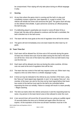be compromised. Floor wiping will only take place during an official stoppage in play.

# 14 **Scoring**

- 14.1 At any time where the game clock is running and the ball is in play and completely crosses a goal line, (see Appendix 1), a goal is scored. The referee will whistle two times and announce the goal. The game clock will stop on the referee's first whistle. A goal cannot be scored by an official passing the ball into play.
- 14.2 If a defending player's eyeshades are moved or come off when hit by a thrown ball, the play will be allowed to continue until the ball is controlled, the ball is blocked out or the ball scores.
- 14.3 The team with the most goals at the end of regulation time will be the winner.
- 14.4 The game will end immediately once one team leads the other team by 10 goals.

### **15 Team Time-Out**

- 15.1 Each team will be allowed four (4) time-outs of 45 seconds during the game. At least one of these time-outs must be taken during the first half or this timeout will be lost. Once one of the teams has called a time-out both teams may use the time-out.
- 15.2 Each team will be allowed one time-out during the entire overtime. All timeouts not used at the end of regulation time will be lost.
- 15.3 The team that has control of the ball may request a time-out. Either team may request a time out when there is a whistle stoppage in play.
- 15.4 A time-out may be indicated to the referee by any member of the team, using the "time-out" hand signal (see Appendix 1) and / or by saying "time-out". Any member of the team can ask for the time-out by hand signal before their team has control of the ball but must wait for the ball to be controlled before requesting the time-out verbally. Failure to comply will result in a team penalty – Illegal coaching.
- 15.5 The time-out starts when the referee announces it and the requesting team by name. Any person in the team bench area is then allowed to enter the court.
- 15.6 A ten second timer will record the 45 second time-out, giving an audible signal 15 seconds before the time-out is finished and again when the time-out expires. At the expiration of the time-out all team members must be in the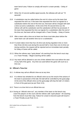team bench area. Failure to comply will result in a team penalty – Delay of game

- 15.7 When the 15 second audible signal sounds, the referees will call out "15 seconds".
- 15.8 A substitution may be called before the end of a time-out by the team that requested the time out. If the team that requested the time out signals for a substitution before the end of the time-out, that team will be charged with both a time-out and a substitution. At the end of the 45-second time-out, the referee will call the substitution and the substitution will then be processed. If the team that requested the time out signals for a substitution after the end of the time-out, that team will be charged with a Team Penalty – Delay of Game.
- 15.9 After a team calls a time-out at least one throw must take place before the same team can call another time-out or a substitution.
- 15.10 If a team takes more than four (4) time-outs during regulation time or more than three (3) time-outs during the second half or more than one (1) time-out during overtime, the request will be rejected and an immediate team penalty for Delay of Game will be called.
- 15.11 When the referee says "quiet please" all coaching from the bench must stop or a Team Penalty – Illegal Coaching will be called.
- 15.12 Any team will be allowed to use one of their allotted time-outs before the start of any half of the game. Any time-out used before the game will count as a time-out.

# **16 Official's Time-Out**

- 16.1 A referee may call an official's time-out at any time.
- 16.2 If a referee has whistled for an official's time-out as the result of the actions of the team in possession of the ball, the ball will be controlled by the goal judge. At the end of the official's time-out the goal judge will drop the ball 1.5 meters in front of the goal post (as per Rule 13.5).
- 16.3 There is no time limit on an official time-out.
- 16.4 During an "official's time-out", any member of the team on the bench may coach the players on the court until the referee calls "quiet please". All coaching from the bench must then stop. Failure for a team to become quiet will result in a Team Penalty as per Rule 15.11.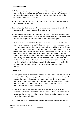# **17 Medical Time-Out**

- 17.1 Medical time-out is a maximum of forty-five (45) seconds. In the event of an injury or illness a "medical time-out" may be called by a referee. The referee will consult and determine whether the player is able to continue to play at the conclusion of forty-five (45) seconds.
- 17.2 The ten second timer who is not presently timing the 10 seconds will time the 45 second medical time-out.
- 17.3 An audible signal will be given 15 seconds before the medical time-out is due to expire and also when the medical time-out expires.
- 17.4 If the referee determines that the injured player is not ready to play at the end of the medical time-out they must be medically substituted but may return if the coach uses a regular substitution to return the player to the game.
- 17.5 No more than one person from the team bench area is allowed to enter the court during a medical time-out. That person must be in their team bench area by the end of the medical time-out. A 15 second signal will be provided. If more than one person from the team bench area enters the court or if the person who entered the court is not in their team bench area by the end of the medical timeout, a team delay of game penalty will be assessed. If more than one person from the team bench area enters the court, team delay of game penalty is given immediately and the team is not allowed to use the whole 45 seconds of the medical time-out. In case the injured player is not able to continue the player must be medically substituted before conducting the penalty throw and in this case the player cannot be selected by the opposing coach to defend the penalty.

# **18 Blood Rule**

- 18.1 If a player receives an injury where blood is observed by the referee, a medical time-out will be called. The player will be removed from the court and may not return to the court until bleeding has stopped, the wound is covered, and if necessary, the uniform changed. If the bleeding has not stopped, the wound is not covered and the uniform hasn't been changed within the medical time out period, a medical substitution is required.
- 18.2 If the injured player is substituted because of a blood issue, this will be considered a "medical substitution". The player may return if the coach uses a regular substitution and only if the referee determines that the player has met the requirements of rule 18.1.
- 18.3 All contaminated surfaces must be appropriately cleaned before play restarts.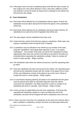18.4 If the player does not have an additional game shirt with the same number as their original one, they will be allowed to wear a shirt with a different number (not already in use by the team) as long as this is indicated to the referee who will announce the change.

# **19 Team Substitution**

- 19.1 Each team will be allowed four (4) substitutions during a game. At least one substitution must be taken during the first half of the game or this substitution will be lost.
- 19.2 Each team will be allowed one (1) substitution during the entire overtime. All substitutions not used at the end of regulation time will be lost.
- 19.3 The same player may be substituted more than once.
- 19.4 A team that has control of the ball may request a substitution. Either team may request a substitution when the game clock is stopped.
- 19.5 A substitution may be indicated to the referee by any member of the team, using the "substitution" hand signal (See Appendix 1) and / or by saying "substitution". Any member of the team can ask for the substitution by hand signal before their team has control of the ball but must wait for the ball to be controlled before requesting the substitution verbally. Failure to comply will result in a team penalty – Illegal coaching.
- 19.6 The substitution starts when the referee announces it and the requesting team by name.
- 19.7 Once the substitution has been announced by the referee, the requesting team will hold up the substitution boards with the number of the player first-to come off the court followed by number of the player to go on the court. Failure to comply will result in a team penalty – Delay of game.
- 19.8 In a tournament requiring patching, the player to be substituted into the game must be patched and ready for eyeshade inspection when the referee announces the substitution. Any delay caused by a coach or a player to be substituted will result in a penalty. Team Penalty – Delay of Game.
- 19.9 A time-out may be called before the end of the substitution. If the team that requested the substitution signals for a time-out before the end of the substitution, the team will be charged with both a substitution and a time-out.
- 19.10 A team may have more than one substitution at the same time however after a team completes a substitution, at least one throw must take place before the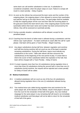same team can call another substitution or time-out. A substitution is considered completed, when the player steps on court. Failure to comply will result in a team penalty – Delay of game.

- 19.11 As soon as the referee has announced the team name and the number of the outgoing player, the outgoing player is then allowed to remove their eyeshades, eye patches and go to the team bench area. The goal judge shall be available to help the outgoing player off the court and then take the incoming player to the goal post nearest the team bench area. If the outgoing player touches their eyeshades before their team name and number has been announced by the referee, they will be assessed an eyeshade penalty.
- 19.12 During a penalty situation, substitutions will be allowed, except for the penalised player.
- 19.13 Coaching from the bench of either team is allowed during a substitution until the referee says "quiet please". If a team continues to coach after the call for 'quiet please', that team will be given a Team Penalty – Illegal Coaching.
- 19.14 Any player substitutions during half time, between regulation and overtime and half time during overtime will not count as one of the team's potential remaining substitutions. During the half times, teams must indicate any substitutions to the scorer. Table side referee will then announce the substitution(s) at the beginning of the next period of play. If a team fails to inform the scorer of their substitution before the expiration of the half, that team will be charged with a Team Penalty – Delay of Game.
	- 19.15 If a team requests more than four (4) substitutions during regulation time or more than three (3) substitutions during the second half or more than one (1) substitution during overtime, the request will be rejected and a team penalty for Delay of Game will be called.

# **20 Medical Substitution**

- 20.1 A medical substitution will not count as one of the four (4) substitutions allowed during regulation time or the one (1) substitution allowed during overtime.
- 20.2 Two medical time-outs called during regulation time and overtime for the same player will, at the decision of the referee, result in that player's removal from the court for the remainder of that half of the game. Any new medical stoppage for the same player in any remaining half will result in an immediate medical substitution and that player will not be able to return for the remainder of that half of the game.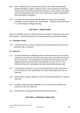- 20.3 After a medical time out has been announced, the referee will determine whether the player is able to continue to play. At the conclusion of forty five (45) seconds, if the referee determines the player cannot continue, the player must be substituted but may return if the coach uses a regular substitution to return the player to the game.
- 20.4 The team may communicate with the players on court during a medical substitution until the referee says "quiet please". Failure to comply will result in a Team Penalty for illegal coaching.

# **SECTION D – INFRACTIONS**

When an infraction occurs the referee will blow the whistle, if necessary, and name the infraction. The ball will be given to the team that did not commit the infraction.

#### **21 Premature Throw**

21.1 A Premature Throw occurs if a player throws the ball before the referee has given the "play" command.

#### **22 Ball Over**

- 22.1 If a ball is blocked by a defending player and the ball rebounds; (a) over the centre line or (b) over the side line in the neutral area, the referee will whistle and call "ball over". The ball will then be dropped back into play and to the opposing Team Area from which it was blocked out. See rule 13.5. The referee will then call "quiet please" and blow their whistle and say "play".
- 22.2 If the ball hits a goal post or cross bar and rolls back over the centre line or over the side line in the neutral area, the referee will whistle once and call "ball over".
- 22.3 If the ball hits an object above the court, the referee will whistle once and call "ball over".
- 22.4 If a player carries the ball completely over the centre line the referee will whistle once and call "ball over"
- 22.5 This rule does not apply to extra throws and penalty throws.

# **SECTION E - PERSONAL PENALTIES**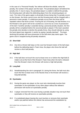In the case of a "Personal Penalty" the referee will blow the whistle, name the penalty, the number of the player and the team. The penalised player will defend the penalty shot. If, due to injury, the penalised player is unable to defend the penalty, the throwing team will select the defending player from the remaining players on court. The rules of the game apply to all penalty throws being that if a penalty occurs on the thrower, the throw cannot score and the throwing team will be charged with a personal or team penalty. If a defensive penalty occurs then the throw will be repeated unless that throw scored. If during the act of throwing, the ball finishes in to the thrower's own goal it will not be counted as a score but as a loss of possession of the ball. If another penalty is awarded during a personal penalty situation, the first penalty will be completed before the second penalty is played. If the team awarded the penalty shot decides to decline the penalty throw, they should indicate by using the hand signal (see Appendix 1) and/or by saying "penalty declined". The team declining the penalty will have possession of the ball when play starts again. The game clock is stopped during all penalty situations.

### **23 Short Ball**

23.1 Any time a thrown ball stays on the court but forward motion of the ball stops before the defending team's Team Area, the player who threw the ball will receive a short ball penalty.

### **24 High Ball**

24.1 If the ball does not touch the court at least once on or before the High Ball (6 meter) Line at the front of the thrower's Team Area when the ball is released from the thrower's hand, the thrower will receive a high ball penalty.

# **25 Long Ball**

25.1 Notwithstanding the rule in paragraph 24, during the throw, the ball must also touch the floor at least once in the Neutral Area or the thrower will receive a long ball penalty.

#### **26 Eyeshades**

- 26.1 During the game any player on the court who intentionally touches their eyeshades or the eyeshades of any other player without the referee's permission will receive an eyeshades penalty.
- 26.2 A player removed from the court during a penalty situation may not touch their eyeshades or they will receive an eyeshades penalty.
- 26.3 If a substituted player leaving the court touches or removes their eyeshade and/or eye patches before the referee has announced the substitution by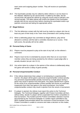team name and outgoing player number. They will receive an eyeshades penalty.

26.4 The Eyeshades penalty may be called by either referee or can be drawn to the referees' attention by ten second timer. If called by the latter, the ten second timer will signal the referee by using the sound used to indicate a ten second penalty. The table referee will confirm the details of the Eyeshades penalty with the ten second timer before checking the eyeshades and/or eye patches concerned and taking the appropriate action.

#### **27 Illegal Defence**

- 27.1 The first defensive contact with the ball must be made by a player who has at least any part of their body in the Team Area (Orientation and Landing Areas).
- 27.2 When a defending player has committed an illegal defence, play will be allowed to continue until the ball is controlled, blocked out or scores. If the ball scores, the penalty will not be called.

#### **28 Personal Delay of Game**

- 28.1 Players must be prepared to play at the start of any half, on the referee's command.
- 28.2 Players must not be re-orientated by anyone other than an on-court team member unless they are being assisted by the referee or goal judge after a penalty situation (as per rule 13.11).
- 28.3 Any action taken by a player in the opinion of the referee to deliberately delay the game will receive a delay of game penalty.

#### **29 Personal Unsportsmanlike Conduct**

- 29.1 If the referee determines that a player is not behaving in a sportsmanlike manner, the player will be given a personal unsportsmanlike conduct penalty. Any personal unsportsmanlike penalty received by a single player during a game may result in ejection from that game. Any player ejected from a game as the result of an unsportsmanlike conduct penalty will receive an automatic suspension from their next game in the same tournament. Any further unsportsmanlike conduct may result in ejection from the venue or tournament.
- 29.2 If a player is ejected, the referee must report this action to the Technical Delegate. The Technical Delegate, together with Protest Committee will then, without delay, decide if a player will be suspended from further competition in that tournament. This incident and the Protest Committee's decision must be documented by the Technical Delegate in a written report submitted to the IBSA Goalball Subcommittee before the conclusion of that tournament. If the Protest Committee is unable to convene and make a decision on this matter,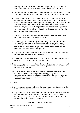the player in question will not be able to participate in any further games in that tournament until that decision is made by the Protest Committee..

- 29.3 A player ejected from the game for personal unsportsmanlike conduct can be substituted. This substitution will count as one of the allowable substitutions.
- 29.4 Before or during a game, any intentional physical contact with an official, caused by a player or any other member on the team's line-up sheet, will result in immediate ejection of that person from the game and the field of play. The team to throw the penalty will choose the defending player from the remaining players on court. If the penalty is awarded before the game has commenced, the throwing team will be able to choose any player from the score sheet to defend the penalty.
- 29.5 The ball must be round immediately after leaving the thrower's hand or an unsportsmanlike conduct penalty will be called.
- 29.6 No foreign substance will be allowed as an enhancement aid in the sport of Goalball. The use of resin/"stick'em", perspiration or any other foreign substance that increases or decreases the adhesion of the surface of the ball to that of a player will be strictly prohibited. Such conduct will result in a personal unsportsmanlike conduct penalty.
- 29.7 Any player intentionally making the ball wet by rubbing it on any surface will be given a penalty for unsportsmanlike conduct.
- 29.8 After first contact any intentional kicking of the ball in standing position will be given a personal unsportsmanlike conduct penalty.
- 29.9 Any throwing of the ball out of play, if referee determines, that ball thrown off the court could harm anyone, a personal unsportsmanlike conduct penalty will be given to the thrower.
- 29.10 A player may not intentionally interfere with the eye patches under their eyeshades in any way. Otherwise, that player will be given an unsportsmanlike conduct penalty and removed from the rest of the game. That player can be substituted. This substitution will count as one of the allowable substitutions.

#### **30 Noise**

- 30.1 Any unnecessary noise made by a player during their act of throwing until the ball touches the defensive team, will be penalised.
- 30.2 Any unnecessary noise will be defined as animal noises, excessive stomping (with the feet), excessive punching or slapping on the court by hand, excessive clapping, whistling, singing, continuous excessive or unrelated conversation and unnecessary shouting.

#### **SECTION F - TEAM PENALTIES**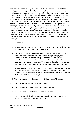In the case of a Team Penalty the referee will blow the whistle, announce 'team penalty', announce the penalty and announce the team. The team awarded the penalty throw will choose the player that will defend the penalty throw from among the on-court players. If the Team Penalty is awarded before the start of the game, the team awarded the penalty throw will choose the player that will defend the penalty throw from any player listed on the Score sheet - Game Information. The rules of the game apply to all penalty throws, and if a penalty occurs on the thrower, the throw cannot score and a Personal or Team Penalty will be charged to the throwing team. If a defensive penalty occurs, the throw will be repeated unless that throw scored. If the throwing player puts the ball into their own goal it will not be counted as a score but as a loss of possession of the ball. If the team awarded the penalty shot decides to decline the penalty throw, they should indicate declination of the penalty by using the hand signal (see Appendix 1) and/or by saying "penalty declined". The team declining the penalty will have possession of the ball when play starts again.

# **31 Ten Seconds**

- 31.1 A team has 10 seconds to ensure the ball crosses the court centre line or side line from their first defensive contact with the ball.
- 31.2 If a time out, substitution or blocked-out occurs after defensive contact is made, and the team has the ball under control (in a player's physical possession or the ball is clearly being passed between players) the 10 seconds clock will be stopped/paused on the referee's whistle and be restarted when the referee calls "play". The team will have the remaining time left on the clock to ensure the ball crosses the court centre line or side-line.
- 31.3 When a defensive contact is followed by a whistle and a "blocked out" call, the 10 second clock will be stopped. After returning the ball to the court the referee will call "quiet please", blow the whistle and call "play". The 10 second clock will restart from the call "play".
- 31.4 The 10 seconds clock will be reset if an "official's time out" is called.
- 31.5 The 10 seconds clock will be reset after a goal.
- 31.6 The 10 seconds clock will be reset at the end of any half.
- 31.7 The 10 seconds clock will be reset in penalty situations.
- 31.8 The 10 seconds clock will start from first defensive contact regardless of whether or not the team has control of the ball.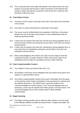31.9 The 10 seconds timer at the table will indicate to the referee when the clock reaches 10 seconds and the team is still in possession of the ball from first contact or before the ball has crossed the court centre line or side-line from that team's half of the court.

# **32 Team Delay of Game**

- 32.1 The team must be ready to start play at the start of any half on the instruction of the referee.
- 32.2 Any action of a team preventing the continuation of the game.
- 32.3 The scorer must be notified before the completion of half time or the period between the end of the game and overtime, of any substitution(s) that are made during those periods.
- 32.4 A team may not request more than four (4) time-outs during regulation time or more than three (3) time-outs during the second half or more than one timeout during overtime.
- 32.5 A team may not request more than four substitutions during regulation time, or more than three (3) substitutions during the second half or more than one substitution during overtime.
- 32.6 When acknowledged by the referee, the coach must be ready to show the substitution boards in a proper sequence. When announced, player to be substituted must be ready for eye patches and eye shade checking.

# **33 Team Unsportsmanlike Conduct**

- 33.1 Any violation of warm-up protocol (See rule 11.2).
- 33.2 All members of the team and its delegation that are present at the game must behave in a sportsmanlike manner.
- 33.3 Any further unsportsmanlike conduct may result in elimination from the game or the premises and/or further participation in the tournament if a referee feels the situation deserves it. The referee has to report the incident to the Technical Delegate for further decision. If the Technical Delegate feels it is necessary, a team may be ejected from further games in the tournament. The Technical Delegate has to send a written report to IBSA Goalball Subcommittee.

# **34 Illegal Coaching**

34.1 The illegal coaching penalty may be called by either referee or can be drawn to the referees' attention by either ten second timer. If called by the latter, the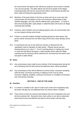ten second timer will signal to the referee by using the sound used to indicate a ten second penalty. The table referee will check the details of the Illegal coaching penalty with the ten second timer before confirming the penalty has been made and taking the appropriate action.

- 34.2 Members of the team listed on the line-up sheet and not on court may only communicate with the players on the court during an official break in play (whistle stoppage), and only until the referee says 'quiet please'. If a team is still communicating after 'quiet please' is called the team will receive an illegal coaching team penalty.
- 34.3 Coaches, team members and non-playing players may not communicate with on-court players during extra throws.
- 34.4 If there is a second incident of illegal coaching during the same game, that person will be removed from the field of play (FOP) and a team penalty will be given.
- 34.5 E-coaching by the use of any electronic devices is allowed from the 'spectators' area to members on team bench. Players cannot use any hearing devices as in rule 6.7. If an E-coaching device is making any sound or noise that will disturb the game, a team penalty will be called for illegal coaching and the device(s) will be switched off, removed from the bench area and given to table official.

#### **35 Noise**

- 35.1 Any unnecessary noise made by any member of the throwing team during the act of throwing until the ball touches the defensive team, will be penalised.
- 35.2 Any unnecessary noise will be defined as animal noises, excessive stomping (with the feet), excessive punching or slapping on the court by hand, excessive clapping, whistling, continuous excessive or unrelated conversation and unnecessary shouting.

# **SECTION G - END OF THE GAME**

#### **36 Overtime**

- 36.1 If a winner is needed in the case of a tied score at the end of regulation play, the teams will play two (2) additional three (3) minute halves if needed.
- 36.2 There will be a three (3) minute break between the end of regulation time and the first overtime half. During this time, there will be a coin toss to determine which team throws and defends and which end the teams will start play.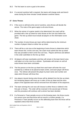- 36.3 The first team to score a goal is the winner.
- 36.4 If a second overtime half is required, the teams will change ends and bench areas during the three minutes' break between overtime halves.

### **37 Extra Throws**

- 37.1 If the score is still tied at the end of overtime, extra throws will decide the winner. The rules of the game apply to all extra throws.
- 37.2 When the winner of a game needs to be determined, the coach will be provided with a line up sheet for extra throws at the coin toss before the game. The line-up sheet must include all players on the information score sheet.
- 37.3 The number of extra throws per team will be determined by the minimum number of players listed on either line up sheet.
- 37.4 There will be a coin toss at the beginning of extra throws to determine which team throws first. At this coin toss, the coach must submit the line-up sheet that was provided to them at the first coin toss. Players will throw and defend in the order submitted on the line up sheet.
- 37.5 All players will wear eyeshades and they will remain in the team bench area until taken on to the court by a referee. Eyeshades will remain on until all extra throws have been concluded.
- 37.6 The first person on the line-up sheet from each team will enter the court assisted by a referee to be placed at back centre, and each player will throw once. The referee will present the player by team name and number and state which thrower will throw first.
- 37.7 Any players injured during extra throws will be deleted from the line up sheet, the remaining players will move up in order of line up sheet and the extra player of the opposite team will be removed from the bottom of the sequence.
- 37.8 The team winning the coin toss will choose to either throw or defend in the first pair or throws. The order will be reversed in the second pair of throws and this procedure will continue until a winner has been decided.
- 37.9 If a Personal or Team penalty occurs on the throwing team, the throw counts but cannot score and that throw will not result in a further penalty. If a Personal or Team penalty occurs on the defending team then the throw will be repeated unless that throw scored.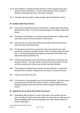- 37.10 The sequence is repeated until the minimum number of players has had a chance to throw and defend. A winner will be declared when one team is ahead by more goals than there are throws remaining.
- 37.11 The team with the greatest number of goals will be declared the winner.

### **38 Sudden Death Extra Throws**

- 38.1 If the score is still tied at the end of extra throws, sudden death extra throws will decide the winner. The rules of the game apply to all sudden death extra throws.
- 38.2 The players that took part in extra throws will also take part in sudden death extra throws as per the line-up sheet for extra throws.
- 38.3 There will be a coin toss at the beginning of sudden death extra throws to determine which team throws first.
- 38.4 The first person on the line up sheet from each team will enter the court assisted by a referee to be placed at back centre, and each player will throw once. The referee will present the player by team name and number and state which thrower will throw first.
- 38.5 The team winning the coin toss will choose to either throw or defend in the first pair of throws. The order will be reversed in the second pair of throws and this procedure will continue until a winner has been decided.
- 38.6 The sequence is repeated until a winner has been declared. A winner will declared when one team is ahead at the conclusion of any pair of throws.
- 38.7 If injury occurs (See rule 37.8)
- 38.8 If a Personal or Team penalty occurs on the throwing team, the throw counts but cannot score and that throw will not result in a further penalty. If a defensive penalty occurs then the throw will be repeated unless that throw scored.

# **39 Signing the Score Sheet and Protest Procedures**

39.1 Immediately after the game a coach of each team, both referees and the scorer will sign the score sheet at the table. If a coach does not sign the score sheet immediately after the end of the game, the coach cannot protest the results of that game.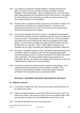- 39.2 The coaches are required to indicate whether or not they will protest the game. Any protest must be submitted in writing to the IBSA Technical Delegate or their representative, within 30 minutes after the end of the game that is being protested and the protest fee will be due at that time. The protest fee will be decided by the Organising committee, but must not be less than one hundred (100) Euro or the equivalent.
- 39.3 Protests must be submitted on IBSA protest forms and written in English. The protest forms must list the rule number(s) protested. The protest must specifically involve the incorrect use of a rule and cannot be about playing venues and the appointment of referees.
- 39.4 The Technical Delegate, tournament director, or designated representative will inform the protestor of the time and place where the protest committee will review the protest. All participants will be given time for a short presentation with arguments for the protest that are relevant and supplement the written protest. Any information to support the protest must be provided at the time the protest form is submitted. Video or other digital recordings can be accepted, but only when recorded by the Organising Committee's equipment.
- 39.5 The protest committee's decision is final. Both teams must be informed of the committee's decision in writing no later than 30 minutes after the protest committee meeting concludes. All parties mentioned in the protest will receive written notification. The written decision shall include rationale for the committee's decision. All results of the protested game will be put on hold until a determination is made by the protest committee.
- 39.6 If a protest is upheld, the protest fee will be returned to the protestor. If the protest is dismissed the protest fee will be credited to (a) IBSA, if the tournament was sanctioned by IBSA or (b) the tournament organising committee, if the tournament was not sanctioned by IBSA.

# **SECTION H - REFEREES' AUTHORITY AND ABUSE OF OFFICIALS**

#### **40 Referees' Authority**

- 40.1 In all matters of safety, the rules, procedures and play, the final decision will be made by the referee.
- 40.2 If there is a dispute between a team and an official only the head coach may speak to the referee. The discussion will only occur at an official break in play and only after the referee has acknowledged the request of the coach.
- 40.3 The referee will explain the issue to the head coach.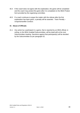- 40.4 If the coach does not agree with the explanation, the game will be completed and the coach may protest the game after it is completed on the IBSA Protest form provided by the organising committee.
- 40.5 If a coach continues to argue the matter with the referee after the first explanation has been given, a penalty will be awarded. Team Penalty – Unsportsmanlike Conduct.

# **41 Abuse of Officials**

41.1 Any action by a participant in a game, that is reported by an IBSA official, in writing, to the IBSA Goalball Subcommittee, will be dealt with at the next Subcommittee meeting. Sanctions against that participant(s) will be decided by the Subcommittee as per paragraph 52.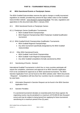# **PART B – TOURNAMENT REGULATIONS**

### **42 IBSA Sanctioned Events or Paralympic Games**

The IBSA Goalball Subcommittee reserves the right to change or modify tournament regulations as needed, provided they present 60 days written notice on the Goalball Subcommittee website: [www.ibsasport.org/sports/goalball.](http://www.ibsasport.org/sports/goalball) The rules, regulations and appendices to this document take effect 1 January 2018.

42.1 IBSA Sanctioned Events or Paralympic Games:

- 42.1.1 Paralympic Games Qualification Tournaments
	- IBSA Goalball World Championships
	- IBSA Regional Championships IBSA Paralympic Goalball Qualification tournament
- 42.1.2 IBSA Goalball World Championships Qualification Tournaments
	- IBSA Goalball Regional Championships
	- Any other tournament specifically designated by the IBSA Goalball **Subcommittee**
- 42.1.3 Other IBSA Sanctioned Events
	- IBSA Goalball Youth World Championships
	- IBSA Goalball Youth Regional Championships
	- Any other Goalball competitions formally sanctioned by IBSA
- 42.2 Sanctioning of Events General

International Goalball Tournaments in which four or more countries participate will require the completion, submission and approval of an IBSA Sanction Application Form to be considered for approval as an IBSA sanctioned tournament. The IBSA Sanction Application Form can be found on the IBSA website under "IBSA Documents - Requests". Competitions with less than four countries may be considered on a caseby-case basis.

- 42.3 Information Required in Sanction Request can be found in the IBSA Sanction Application Form.
- 42.4 Sanction Penalties

If a sanctioned tournament deviates on essential points from those agreed, the organising country may be penalised to a maximum of €10,000.00 (ten thousand euros) and may be subject to being barred from applying for future tournament sanctioning for a maximum period of five (5) years.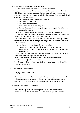### 42.5 Procedure for Reviewing Sanction Penalties

The procedure for reviewing sanction penalties is as follows:

The technical delegate for the tournament or member organisation (plaintiff) will, within 28 days from the completion of the tournament, lodge a complaint in writing to the Secretary of the IBSA Goalball Subcommittee (Secretary) which will include the following details.

- $\circ$  The name and contact details of the plaintiff
- $\circ$  The name of the tournament
- o The date of the tournament
- o Details to the nature of the complaint
- o Name and contact details of any other person or organisation (if any) who support the complaint

The Secretary will immediately inform the IBSA Goalball Subcommittee (Committee) of the complaint. The Secretary will also refer the complaint to the organising committee for the tournament (defendant).

The defendant will have a further 28 days from the day the Secretary referred the complaint, to respond in writing to the allegations. The response will include details such as:

- o how the agreed essential points were carried out
- o reasons why the agreed essential points were not carried out
- $\circ$  any circumstances that did not allow the defendant to carry out the agreed essential points

A lack of response from the defendant will be treated by the Subcommittee as if there are no grounds to protest the complaint.

Having received all the information, the Subcommittee will decide the penalty(ies) (if any) at their next meeting.

The Secretary will then inform the plaintiff and the defendant in writing of the result of the complaint.

# **43 Facilities and Equipment**

43.1 Playing Venue (Sports Hall)

The venue will be acoustically suitable for Goalball. Air conditioning or heating will be quiet so as not to impact on the games if it is to be used during the tournament. Open air venues that permit outside noise shall be avoided.

#### 43.2 Goalball Field of Play Dimensions

The Field of Play for a Goalball competition must have minimum floor dimensions of 20.0 X 30.0 metres, and a minimum height of 5.0 metres.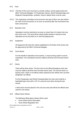#### 43.3 Floor

- 43.3.1 The floor of the court must have a smooth surface, and be approved by the IBSA Technical Delegate. For Paralympic Games, World Championships and Regional Championships, synthetic, wood or plastic floors must be used.
- 43.3.2 The organizing committee must announce the type of floor one year before the start of the tournament or as soon as practical after the tournament has been announced.

#### 43.4 Spectator Area

Spectators must be restricted to an area no closer than 4.0 metres from any part of the court. This area will be clearly tactile marked or fenced so that spectators do not encroach on or near the playing area.

#### 43.5 Equipment

All equipment will meet the criteria established in the Rules of the Game and be approved by the IBSA Technical Delegate.

#### 43.6 Score Board

For the benefit of spectators and coaches, a visual scoring system must be maintained. The scoreboard must be visible at all times from the team bench area.

#### 43.7 Clocks

There will be three clocks. The first clock is the official time/game clock and must be visible at all times from the team bench area. The second clock is a backup clock, which is not official unless required by the referee who can then designate it as official.

For the Paralympics and World Championships the main clock shall be a basketball type clock with a  $10<sup>th</sup>$  of a second count down during the last minute.

A third clock must be placed in the coin toss area and will be the official clock used for coin tosses.

# 43.8 Official Game Sheets

The following official game sheets will be used:

- Score Sheet-Game Information
- Score Sheet-Regulation time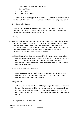- Score Sheet-Overtime and Extra throws
- $Line up$  Sheets
- Protest Form
- Protest Decision Form

All sheets must be of the type included in the IBSA ITO Manual. The Information for the IBSA ITO Manual can be found at [www.ibsasports.org/sports/goalball.](http://www.ibsasports.org/sports/goalball)

# 43.9 Substitution Boards

Substitution boards must be used by the coach for any player substitution indicating the number of the incoming player and the number of the outgoing player. Numbers must be at least 15 cm tall.

#### 43.10 Balls

- 43.10.1The organizing committee must select and announce the game balls twelve (12) months before the start of any IBSA sanctioned tournament or as soon as practical after the tournament has been announced. The Organising Committee will inform all participating teams, the type of balls that will be used in that tournament. Failure to comply will compel the IBSA Goalball Sub-Committee to select the manufacturer of the balls.
	- 43.10.2 For all IBSA World Championships and Paralympics, the balls used will be new and not previously used. Balls will be replaced after being used for three games. Competition balls and warm up balls will be from the same manufacturer. For other IBSA sanctioned events decision is under discretion of Technical Delegate.

#### 43.11 Practice on the Competition Court

For all Paralympic, World and Regional Championships, all teams must have access to the competition playing court for at least a one (1) hour practice prior to the start of the competition.

#### 43.12 Eyeshades

At Paralympic, World and Regional Championships, the eyeshades must not let in any light and they shall be of a size and form so that it is not possible to see. Eyeshades may be provided by the Organising Committee, however, only equipment approved by the Technical Delegate for the tournament must be used.

# 43.13 Approval of Equipment and Facilities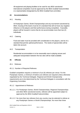All equipment and playing facilities to be used for any IBSA sanctioned international competition must be approved by the IBSA Goalball Subcommittee or a representative designated by the IBSA Goalball Sub-committee.

### **44 Accommodations**

#### 44.1 Housing

At Paralympic Games, World Championships and any tournament sanctioned by IBSA, housing of the teams must be of a standard that will not have any negative influence on the players and their performance during competition. If possible, players will be housed in rooms that do not accommodate more than two (2) individuals.

#### 44.2 Catering

Food and water must be provided with consideration to the players, and be of a standard that permits optimal performance. The needs of special diets will be taken into account.

#### 44.3 Transportation

Residential accommodation is to be reasonably near to playing venues and adequate transportation between the two sites will be made available.

#### **45 Officials**

#### 45.1 Referees

#### 45.1.1 Number of Required Referees

Goalball competition requires a minimum of six (6) referees per venue. For the Paralympic Games, a minimum of twelve (12) referees are required unless otherwise negotiated by the Technical Delegate. Regional and World Championship requirements are to be determined by the Technical Delegate in consultation with the Organising Committee.

#### 45.1.2 Appointment of Referees

- 45.1.2.1 For Paralympic Games, World Championships, Regional Championships and other IBSA sanctioned events, referees will be appointed subject to approval by the IBSA Goalball Subcommittee.
- 45.1.2.2 No more than two referees from any country may be selected to referee at any Paralympic Games or World Championships. No more than three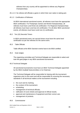referees from any country will be appointed to referee any Regional Championships.

45.1.2.3 No referee will officiate a game in which their own nation is taking part.

45.1.3 Certification of Referees

At IBSA International sanctioned events, all referees must have the appropriate IBSA certification. For Paralympic Games and World Championships, all referees must have Level three (3) certification. For Regional Championships all referees must have Level two (2) certification. For all other IBSA sanctioned events, all referees must have Level one (1) certification.

#### 45.2 Ten (10) Seconds Timers

In IBSA sanctioned event, ten second timers must have the same level certification as per the referees for the same event.

#### 45.3 Table Officials

Table officials at the IBSA Sanction events have to be IBSA certified.

#### 45.4 Goal Judges

The organizing committee and Technical Delegate are responsible to select and train the goal judges in any IBSA sanctioned tournaments

#### 45.5 Technical Delegate

All sanctioned tournaments must have an IBSA Technical Delegate appointed by the IBSA Goalball Subcommittee or its Chairman.

The Technical Delegate will be responsible for liaising with the tournament organisers prior to the event and will be responsible for ensuring the necessary standards in all technical matters at the tournament including:

- the court and its marking;
- the conduct of the tournament;
- scheduling;
- management of technical officials;
- ratification of score sheets and approval of official results:
- approval and maintenance of equipment and their correct use;
- management of protests.

#### 45.6 Commissioner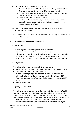- 45.6.1 The main duties of the Commissioner are to:
	- Observe referees during IBSA World Championships, Paralympic Games, Regional championships and other IBSA sanctioned events.
	- Assist Technical Delegate in selecting the best performing referees after the round robins (TD has the final choice)
	- Serve as chairman of the Protest Committee
	- Assist the Technical Delegate to give referees immediate performance feedback at major tournaments to with the intent of assuring better consistency among referees
- 45.6.2 The Commissioner and TD will be nominated by the IBSA Goalball Subcommittee or its chairman.
- 45.6.3 An individual will not referee at a tournament while serving as Commissioner for that tournament.

# **46 Organisation (Non-Paralympic Events)**

46.1 Participants

The following items are the responsibility of participants:

- Delegation travel to and from the competition site.
- All expenses for health and accident insurance. The organiser cannot be held responsible for accidents or illness, unless caused by negligence.
- Payment of Entry Fees to the organising committee prior to competition.
- 46.2 Organisers

The following items are the responsibility of organisers:

- Facilities and equipment needed for competition (as per paragraph 45).
- Accommodation for the competing teams.
- Catering for competing teams and officials during competition times.
- All board, lodging, travel expenses and per diem for referees, IBSA Technical Delegate, classifiers, commissioner and any necessary IBSA ITOs.
- Medals and Awards.

# **47 Qualifying Standards**

The following criteria are in place for the Paralympic Games and the World Goalball Championships. The four competition regions are Africa, America, Asia/Pacific and Europe Regional Championships will be held in the alternate years between the Paralympic Games and the World Goalball Championships. All Regional Championships must be approved by the IBSA Goalball Subcommittee and must be open to all member nations within the region.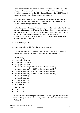Tournaments must have a minimum of four participating countries to qualify as a Regional Championship tournament with a Technical Delegate and Commissioner appointed by the IBSA Goalball Subcommittee. IBSA Level II referees or higher must officiate regional tournaments.

IBSA Regional Championships or Pre-Paralympic Regional Championships should be held between six (6) and eighteen (18) months prior to the World Goalball Championships or Paralympic Games.

If a Pre-Paralympic Regional Championships is not held prior to the Paralympic Games, the Paralympic qualification slot for that region will be lost and a slot will be allotted to the IBSA Paralympic Goalball Ranking Tournament. If there is no IBSA Regional Championship held prior to World Goalball Championships, all regional qualifying slots for that region will be lost and allotted to the Ratio Formula.

- 47.1 World Championships
- 47.1.1 Qualifying Criteria Men's and Women's Competition

At World Championships, there will be a maximum number of sixteen (16) participating men's and sixteen (16) participating women's teams:

- Host Country
- Paralympics Champion
- Paralympics 2nd Place
- Paralympics 3rd Place
- Regional Champion (from IBSA Regional Championships)
- Regional Champion (from IBSA Regional Championships)
- Regional Champion (from IBSA Regional Championships)
- Regional Champion (from IBSA Regional Championships)
- Regional Runner Up
- Regional Runner Up
- Regional Runner Up
- Regional Runner Up
- Ratio formula
- Ratio formula
- Ratio formula
- Ratio formula

Regional Champion for this process is defined as the highest available team within that Region that has not already qualified (Host Country or Paralympic Medalists).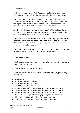#### 47.2 Ratio Formula

Each place available for the Ratio Formula will be filled by a team from the IBSA Goalball Region with the highest score using the following principle:

The total number of competing countries in the previous two years' IBSA Regional Championships divided by the number of competing countries from that region already qualified for the World Goalball Championships. This formula will be recalculated for every spot available under the Ratio Formula.

A region will only be able to obtain a maximum of half the available places from the ratio formula. Once a region has obtained half the places or more, that region will be removed from any further calculations.

If there are four places allocated to the Ratio Formula, any region may only be allocated a maximum of two places under the formula. If there are five places allocated to the Ratio Formula, any region may only be allocated a maximum of three places under the formula.

If the ratio formula calculation is the same for two or more regions, the slot will be given to the region with more IBSA World Ranking teams.

#### 47.3 Paralympic Games

Qualifying criteria and procedures will be posted a minimum of 24 months prior to the Paralympic Games

47.3.1 Qualifying Criteria - Men's Competition

At the Paralympic Games, there will be a maximum of ten (10) participating men's teams:

- Host Country
- World Championships 1st Place
- World Championships 2nd Place
- World Championships 3rd Place
- Regional Champion (from Pre-Paralympic Regional Championships)
- Regional Champion (from Pre-Paralympic Regional Championships)
- Regional Champion (from Pre-Paralympic Regional Championships)
- Regional Champion (from Pre-Paralympic Regional Championships)
- IBSA Paralympic Goalball Ranking Tournament 1st Place
- IBSA Paralympic Goalball Ranking Tournament 2nd Place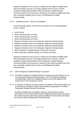Regional Champion for this process is defined as the highest available team within that Region that has not already qualified (Host Country or World Goalball Championship Medalist). IBSA Paralympic Goalball Ranking Tournament place for this process is defined as the highest available team that has not already qualified (Host Country, World/Regional Goalball Championship).

# 47.3.2 Qualifying Criteria - Women's Competition

At the Paralympic games, there will be a maximum of ten (10) participating women's teams:

- Host Country
- World Championships 1st Place
- World Championships 2nd Place
- World Championships 3rd Place
- Regional Champion (from Pre-Paralympic Regional Championships)
- Regional Champion (from Pre-Paralympic Regional Championships)
- Regional Champion (from Pre-Paralympic Regional Championships)
- Regional Champion (from Pre-Paralympic Regional Championships)
- IBSA Paralympic Goalball Ranking Tournament 1st Place
- IBSA Paralympic Goalball Ranking Tournament 2nd Place

Regional Champion for this process is defined as the highest available team within that Region that has not already qualified (Host Country or World Goalball Championship Medalist). IBSA Paralympic Goalball Ranking Tournament place for this process is defined as the highest available team that has not already qualified (Host Country, World/Regional Goalball Championship).

- 47.4 IBSA Paralympic Goalball Ranking Tournament
- 47.4.1 The IBSA Paralympic Goalball Ranking Tournament may be held prior to all Pre-Paralympic Regional Championships. The Pre-Paralympic Regional Championships should be completed between six (6) and eighteen (18) months prior to the Paralympic Games.
- 47.4.2 A maximum of sixteen (16) men's teams and sixteen (16) women's teams will be selected by the IBSA Goalball Subcommittee to participate in the IBSA Paralympic Goalball Ranking Tournament.

The IBSA Goalball Sub-Committee's selection will be based on team performance at the previous IBSA World Goalball Championships followed by the ranking of teams within their regional qualification tournaments preceding the previous IBSA Goalball World Championships.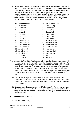47.4.3 Places for the men's and women's tournament will be allocated to regions as set out in this sub section. If a region is not able to occupy their full allocation, those spots left unoccupied will be allocated to teams by IBSA Goalball Sub-Committee depending on when their application to participate in the tournament was received by the organizing. This list will be published on the IBSA Goalball website each month from the first application and will continue to be published up to final applications are received. A region may not be allocated more than half the available tournament slots.

- 1 Host Country 1 Host Country
- 2 Europe 1st 2 Europe 1st
- 
- 
- 
- 
- 
- 8 Asia Pacific 1st 8 Asia Pacific 1st
- 9 Asia Pacific 2nd 9 Asia Pacific 2nd
- 
- 11 Asia Pacific 4th 11 Asia Pacific 4th
- 12 Americas 1st 12 Americas 1st
- 13 Americas 2nd 13 Americas 2nd
- 14 Americas 3rd 14 Americas 3rd
- 
- 16 Africa 2nd 16 Africa 2nd

# **Men's Competition Women's Competition**

- 
- 
- 3 Europe 2nd 3 Europe 2nd
- 4 Europe 3rd **4 Europe 3rd**
- 5 Europe 4th 5 Europe 4th
- 6 Europe 5th 6 Europe 5th
- 7 Europe 6th 7 Europe 6th
	-
	-
- 10 Asia Pacific 3rd 10 Asia Pacific 3rd
	-
	-
	-
	-
- 15 Africa 1st 15 Africa 1st
	-
- 47.4.4 At the end of the IBSA Paralympic Goalball Ranking Tournament, teams will be placed in rank order for each competition based on tournament finish. The ranking of teams finishing outside the quarter-finals and medal games (9<sup>th</sup> to 16<sup>th</sup>) will be determined by their total points and goal difference (as per Rule 49) from the round robin. Losers of quarter-finals have to play for 5<sup>th</sup> - 8th places according to their total points and goal difference (as per Rule 49) from the round robin (teams 1-4, 2-3). Winners play for  $5<sup>th</sup>$  and  $6<sup>th</sup>$ , losers for  $7<sup>th</sup>$ and 8<sup>th</sup>.
- 47.4.5 After all Pre-Paralympic Qualification Tournaments are completed, the remaining Paralympic Games qualification slots will be filled using the results from the IBSA Paralympic Goalball Ranking Tournament, selecting teams in the order of finish.
- 47.4.6 Only teams that have not already qualified through Pre-Paralympic Regional Championships (does not include any regional championships conducted for the purpose of qualification for World Championships) will be considered for a qualification slot.

## **48 Conduct of Tournaments**

48.1 Drawing and Seeding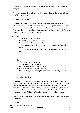At the World Championships and Paralympic Games, teams will be divided into two pools.

To ensure equal weighting in each pool, seeding will be conducted according to the following schemes.

# 48.1.1 Paralympic Games

Those teams that are not automatically seeded  $(1<sup>st</sup>$  to  $3<sup>rd</sup>$  at previous World Championships) will be allocated to their pools in two separate draws. The first draw will only contain the teams allocated from the four Regional tournaments. The second draw will contain the teams that qualified via the Paralympic Ranking Tournament as well as the host country.

- Pool A
	- o 1<sup>st</sup> at last World Championships
	- o 1<sup>st</sup> drawn Regional Champion (first draw)
	- o 3<sup>rd</sup> drawn Regional Champion (first draw)
	- o 1<sup>st</sup> drawn Paralympic Ranking Tournament or Host Country (second draw)
	- o 3<sup>rd</sup> drawn Paralympic Ranking Tournament or Host Country (second draw)
- Pool B
	- o 2<sup>nd</sup> at last World Championships
	- $\circ$  3<sup>rd</sup> at last World Championships
	- o 2<sup>nd</sup> drawn Regional Champion (first draw)
	- $\circ$  4<sup>th</sup> drawn Regional Champion (first draw)
	- o 2<sup>nd</sup> drawn Paralympic Ranking Tournament or Host Country (second draw)

# 48.1.2 World Championships

Those teams that are not automatically seeded  $(1<sup>st</sup>$  to  $3<sup>rd</sup>$  at previous Paralympic Games) will be drawn from a hat in three separate draws. The first draw will only contain the first four highest ranking teams allocated from the four Regional tournaments. The second draw will only contain the second four highest ranking teams allocated from the four Regional tournaments. The third draw will contain the teams that qualified via the Ratio Formula as well as the host country.

Teams that qualified through the same Regional tournament cannot be placed in the same pool.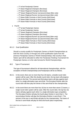- o 1<sup>st</sup> at last Paralympic Games
- o 1<sup>st</sup> drawn Regional Champion (first draw)
- o 3<sup>rd</sup> drawn Regional Champion (first draw)
- o 2<sup>nd</sup> drawn Regional Runner Up (second draw) (Men only)
- $\circ$  4<sup>th</sup> drawn Regional Runner Up (second draw) (Men only)
- o 1<sup>st</sup> drawn Ratio Formula or Host Country (third draw)
- $\circ$  3<sup>rd</sup> drawn Ratio Formula or Host Country (third draw)
- $\circ$  5<sup>th</sup> drawn Ratio Formula or Host Country (third draw)
- Pool B
	- o 2<sup>nd</sup> at last Paralympic Games
	- o 3<sup>rd</sup> at last Paralympic Games
	- o 2<sup>nd</sup> drawn Regional Champion (first draw)
	- $\circ$  4<sup>th</sup> drawn Regional Champion (first draw)
	- o 1<sup>st</sup> drawn Regional Runner Up (second draw) (Men only)
	- $\circ$  3<sup>rd</sup> drawn Regional Runner Up (second draw) (Men only)
	- o 2<sup>nd</sup> drawn Ratio Formula or Host Country (third draw)
	- o 4<sup>th</sup> drawn Ratio Formula or Host Country (third draw)

#### 48.1.3 Dual Qualification

Should a country qualify for Paralympic Games or World Championships as both the Host Country or through one of the qualification spots from the previous Paralympic Games or World Championships, that country's Host Nation spot will be allocated to either the Paralympic Ranking Tournament for Paralympic Games or to the ratio formula for World Championships.

#### 48.2 Type of Tournament

The type of tournament utilised for all international championships, with the exception of World Championships and Paralympics will be as follows.

- 48.2.1 In the event, there are no more than four (4) teams, a double round robin system will be used. After this double round robin, the top team will progress directly to the final. The second and third place teams will play against each other in a single elimination type semi-final. The first-place finisher after the round robin will then play the winner of the semi-final for the championship.
- 48.2.2 In the event there are more than four (4) but no more than seven (7) teams, a single round robin system will be used. After this round robin, the top four (4) teams will play against each other in a single elimination type competition. The first-place finisher will play the fourth-place finisher in semi-final 1. The second-place finisher will play the third-place finisher in semi-final 2. The winners of the two in semi-finals will play for the championship. The losers of the two in semi-finals will play for third and fourth place respectively.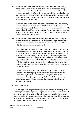48.2.3 In the event there are more than seven (7) but no more than sixteen (16) teams, teams will be equally divided into two pools. In each pool, a single round robin system will be used. If there are an odd number of teams the size of the two pools will only differ in size by one team. In the event that there are two uneven pools, the results of the games that involved the bottom placed team in the larger pool will be removed before using the method in Rule 49 to rank teams from the two pools.

> At the end of the round robins, the top four teams from each pool will play against each other in a single elimination format, A1 vs. B4, B2 vs. A3 (winners to semi-final 1), B1 vs. A4, A2 vs. B3 (winners to semi-final 2). The losers will be ejected from the competition. The winners of the two semi-finals will play for the championship. The losers of the two semi-finals will play for third and fourth place respectively.

48.2.4 In the event there are more than sixteen (16) teams, teams will be equally divided into a divisional competition with no fewer than eight teams in each division. The divisions will run in conjunction with each other and will be subject to a promotion and relegation system.

> Competition will be conducted either in a single round robin format amongst all teams or teams can be split in to two equal pools. In the case of a single round robin, the top four teams will compete in the finals (as per 48.2.2). In the case of two equal pools (as per 48.6 & 48.7). The remaining teams will be seeded as they finished on the points table. Teams on equal points will be separated using the method in Rule 49. In the event that there are two uneven pools, the results of the games that involved the bottom placed team in the larger pool will be removed before using the method in Rule 49 to rank teams from the two pools.

The groups will be called Group A, Group B, Group C. Group A being considered the premier group. At the conclusion of all competitions, the bottom three (3) teams in each group will be relegated to the group immediately below it (Group A to Group B). Alternately, the top three (3) teams in each group will be promoted to the group immediately above it (Group B to Group A).

#### 48.3 Seeding of Teams

To ensure equal weighting of pools at regional championships, seeding will be based on placement at the previous Regional Championships. If a team did not compete in the previous regional championships they would be placed at the bottom of the list. If the event there is more than one team that did not compete in the previous regional championships, those teams would be seeded by draw and placed at the bottom of the list. For example:

.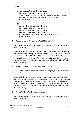- Pool A
	- o 1st at previous Regional Championships
	- o 4th at previous Regional Championships
	- o 5th at previous Regional Championships
	- o 1st team drawn that did not compete at previous Regional Championships
	- o 3rd team drawn that did not compete at previous Regional Championships
- Pool B
	- o 2nd at previous Regional Championships
	- o 3rd at previous Regional Championships
	- o 6th at previous Regional Championships
	- o 7th at previous Regional Championships
	- o 2nd team drawn that did not compete at previous Regional Championships
- 48.4 Format for Men's Competition at World Championships

Teams will be equally divided into two pools. In each pool, a single round robin system will be used.

At the conclusion of the round robin, the top four teams from each pool will play against each other in a single elimination format. A1 vs. B4, B2 vs. A3 (winners to semi-final 1), B1 vs. A4, A2 vs. B3 (winners to semi-final 2). The losers will be ejected from the competition. The winners of the two semi-finals will play for the championship. The losers of the two semi-finals will play for third and fourth place respectively.

48.5 Format for Women's Competition at World Championships

Teams will be equally divided into two pools. In each pool, a single round robin system will be used.

At the conclusion of the round robin, the top four teams from each pool will play against each other in a single elimination format. A1 vs. B4, B2 vs. A3 (winners to semi-final 1), B1 vs. A4, A2 vs. B3 (winners to semi-final 2). The losers will be ejected from the competition. The winners of the two semi-finals will play for the championship. The losers of the two semi-finals will play for third and fourth place respectively.

# 48.6 Format for Men's Paralympic Competition

Teams will be equally divided into two pools. In each pool, a single round robin system will be used.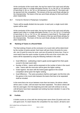At the conclusion of the round robin, the top four teams from each pool will play against each other in a single elimination format. A1 vs. B4, B2 vs. A3 (winners to semi-final 1), B1 vs. A4, A2 vs. B3 (winners to semi-final 2). The losers will be ejected from the competition. The winners of the two semi-finals will play for the championship. The losers of the two semi-finals will play for third and fourth place respectively.

#### 48.7 Format for Women's Paralympic Competition

Teams will be equally divided into two pools. In each pool, a single round robin system will be used.

At the conclusion of the round robin, the top four teams from each pool will play against each other in a single elimination format. C1 vs. D4, D2 vs. C3 (winners to semi-final 1), D1 vs. C4, C2 vs. D3, (winners to semi-final 2). The losers will be ejected from the competition. The winners of the two semi-finals will play for the championship. The losers of the two semi-finals will play for third and fourth place respectively.

### **49 Ranking of Teams in a Round Robin**

The final ranking of teams at the conclusion of a round robin will be determined by the number of points earned. Each team will earn three (3) points for every win, one (1) point for every tie score, and zero (0) points for every loss. If two or more teams have the same number of points at the end of the round robin, the teams will be separated by using the following methods in this order:

- Goal Difference subtracting a team's goals scored against from their goals scored in the total round robin
- Number of Wins teams will be assessed on the number of wins in the round robin. Teams with the most wins will be given the higher ranking.
- Goals Against- the team with the lowest goals against-in the overall competition will be given the higher ranking.
- Goal Difference The same procedure shall be used again, but this time only the games in the round robin between the teams that have to be separated shall be included.

In the event that a tie occurs between more than two teams, the above criteria will be used, in order, until one team has been separated. The above criteria will then be used again, from the beginning and order (and will continue to do so), until all teams have been separated and ranking has been decided. In case of tie, draw will apply.

#### **50 Forfeits**

A forfeit counts as a loss with the winning team earns three (3) points and a ten (10) goal score. If a team leaves the competition for any reason, all teams earn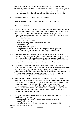three (3) win points and zero (0) goals difference. Previous results are automatically cancelled. This rule may be waived by the Technical Delegate or their assistant based on circumstances beyond control of the team or caused by the Organising Committee. Rescheduling of the game can be permitted.

## **51 Maximum Number of Games per Team per Day**

There will never be more than three (3) games per team per day.

#### **52 Gross Misconduct**

- 52.1 Any team, player, coach, escort, delegation member, referee or official found, in the lead up to or during a tournament, to be behaving in a manner that is contrary to the spirit of the game will be duly penalized. Behaving in a manner that is contrary to the spirit of the game may include but is not limited to the following actions
	- unsporting behaviour
	- dissent by word or action
	- persistent infringement of the rules of the game
	- violent conduct
	- spitting at any other person
	- using offensive, insulting or abusive language and/or gestures
	- not attending a game without valid reason prior permission
- 52.2 In the event of any issue regarding Gross Misconduct at a tournament, the Technical Delegate, in consultation with the protest committee, will sanction that person and/or their team. Such sanctions may include but will not be limited to disqualification of the individual and/or team from the tournament
	- disqualification of the individual and/or team from future tournaments
- 52.3 Any event of Gross Misconduct will be reported to the IBSA Goalball Subcommittee. The report can be sent by the Technical Delegate or any other interested party and should be in writing. It will contain details of the defendant(s) and of the details regarding the Gross Misconduct that occurred. The report may include any supporting material such as eye witness accounts, medical reports, video and/or audio evidence.
- 52.4 Upon receipt of a report regarding Gross Misconduct by any individual or team, the IBSA Goalball Subcommittee will advise the defendant(s) and their IBSA Member Body that it has received a report along with the details of the reporting party and the incident in the report. The IBSA Goalball Subcommittee will allow the defendant(s) and/or their Member Body to respond to the accusations in the report within fourteen (14) days, after which the Subcommittee will convene a meeting where they will decide what sanctions (if any) will be mandated.
- 52.5 Any sanctions handed down by the IBSA Goalball Subcommittee may include but will not be limited to:
	- disqualification of the defendant(s) from future tournaments
	- loss of ranking points
	- any other sanction as deemed appropriate by the subcommittee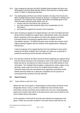- 52.6 Upon making the decision the IBSA Goalball Subcommittee will inform the defendant(s) and their IBSA Member Body of their decision in writing within seven (7) days of making that decision.
- 52.7 The defendant(s) will then have further fourteen (14) days from the day the IBSA Goalball Subcommittee advised its decision, to respond in writing to the sanctions. The response must contain information not already given to the Subcommittee and will include details such as:
	- reasons why the misconduct was carried out
	- any other reasons that should be taken into consideration for the misconduct
	- any arguments against the severity of the sanctions.
	- 52.8 Upon receiving an appeal to its original decision, the Sub-Committee will send all documents including the original report, defendant(s) and/or their Member Body's response to the accusations as well as the appeal to the IBSA Executive Board of receiving the appeal notice to consider the Sub-Committee's decision. The IBSA Executive must consider the contents of the original report(s) together with the contents of the appeal before making the final decision.

A lack of response to the original decision from the individual or team will be treated by the IBSA Goalball Sub-Committee as if there are no grounds to protest the sanction(s) and the decision will stay final.

52.9 Any decision made by the IBSA Executive Board regarding any appeal will be final and will be reported to the individual or team in the report, their National Body and will be recorded by the Sports Director of the IBSA Board for their information. The Goalball Subcommittee is authorized to share copies of any decisions made under this rule by the Goalball Subcommittee or the Executive Board with any tournament local organizing committees and/or athlete licensing bodies for a particular competition for the purpose of ensuring that any sanctions are duly enforced.

#### **53 Game Protocol**

#### 53.1 Team Check-in and Coin Toss

Before the start of the game, a representative of both teams will report to the designated check-in area, in order to validate the Score Sheets-Game Information and line-up sheets and to perform the coin toss. All participating players and coaches that will be in the team bench area must be listed on the Score Sheets-Game Information.

At the expiration of the final 90 seconds that indicates the beginning of the game, if there are any team members in the team bench area that are not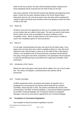listed on the line-up sheet, the team will be penalised (delay of games) and those individuals will be removed from the Field of Play for the half.

Also at the expiration of the final 90 seconds that indicates the beginning of the game, if there are any team members listed on the Score Sheets-Game Information that are not in the team bench area, the team will be penalised for a delay of game and those team members will not be allowed to enter the Field of Play for the half.

# 53.2 Warm Up

All teams must have the opportunity to warm up in a suitable area at least half an hour before they are called to their game. The warm up area for both teams will be similar and as close as possible to the same conditions as the competition venue. Warm up balls shall be of the same brand or model as used in the competition games for that tournament.

#### 53.3 March-In

For all major Championships the teams will march into the field of play. If any player does not have their team uniform available at March In, they will not be allowed to enter with the team or warm up on the Field of Play. If the player's uniform is not available at the 30 second warning, that player will be ejected from play in that game and will be considered a non-participant and be required to wear the identifying jersey as provided by the organising committee of the tournament.

#### 53.4 Introduction of the Teams

Before the start of the game, both teams will be called to line up on the 6-meter line. The names of all players, coaches/escorts and referees will be announced.

#### 53.5 Protest Committee

At IBSA sanctioned events, all protests and matters of expulsion (as in paragraph 53) concerning the tournament will be dealt with by a protest committee, whose decision is final. The protest committee will consist of the Commissioner, the IBSA Technical Delegate, a Tournament Referee appointed by the IBSA Technical Delegate, the Tournament Director (Competition Manager), and one (1) extra person appointed by the Technical Delegate.

#### **54 Exceptions to Tournament Regulations**

Any exception to these tournament regulations must be: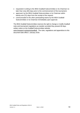- requested in writing to the IBSA Goalball Subcommittee or its Chairman no later than sixty (60) days prior to the commencement of the tournament;
- approved, by the IBSA Goalball Subcommittee or its Chairman within twenty-one (21) days from the receipt of the request;
- communicated to the other participating teams by the IBSA Goalball Subcommittee or its Chairman immediately upon approval.

The IBSA Goalball Subcommittee reserves the right to change or modify Goalball rules and tournament regulations as needed, provided they present 60 days written notice on the Goalball Subcommittee website: [www.ibsasport.org/sports/goalball.](http://www.ibsasport.org/sports/goalball) The rules, regulations and appendices to this document take effect 1 January 2018.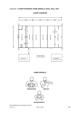

**COURT DIAGRAM**

**HAND SIGNALS**

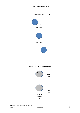# **GOAL DETERMINATION**



GOAL

# **BALL OUT DETERMINATION**

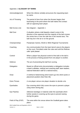# Appendix 2. **GLOSSARY OF TERMS**

| Acknowledgement         | When the referee verbally announces the requesting team<br>by name.                                                                                                                                                                   |
|-------------------------|---------------------------------------------------------------------------------------------------------------------------------------------------------------------------------------------------------------------------------------|
| Act of Throwing         | The period of time from when the thrower begins their<br>backswing to the point where the ball makes first contact<br>with an opposing team player.                                                                                   |
| <b>Ball Across Line</b> | See diagram - Appendix 1                                                                                                                                                                                                              |
| <b>Ball Over</b>        | A situation where a ball departs a team's area in the<br>direction of the opponent and the majority of the ball crosses<br>the centre line or over the side line in the neutral area. The<br>ball may be in the air or on the ground. |
| Championships           | Paralympic Games, World or IBSA Regional Tournaments                                                                                                                                                                                  |
| Coaching                | Any communication from the team bench area to the players<br>on the court. Permitted under the rules and until the Referee<br>calls 'quiet please'.                                                                                   |
| Control                 | When a player has physical control of the ball or the ball is<br>in the process of being passed from one player to another.                                                                                                           |
| Defence                 | The act of preventing the ball from scoring.                                                                                                                                                                                          |
| Delegation              | Based on official entry documentation a delegation includes<br>a team's athletes, medical and coaching staff, team leaders,<br>national federation staff (if a national team).                                                        |
| Draw                    | A method of determining which teams go into which pools or<br>placement position (See Rule 48).                                                                                                                                       |
| <b>Extra Throws</b>     | A one player versus one player situation to decide a tie.                                                                                                                                                                             |
| Eyeshades               | Eye covering which fully covers the eyes to prevent a player<br>using vision during play.                                                                                                                                             |
| Eye Patches             | Adhesive bandage or material under the eyeshade which<br>further assists in covering up the eyes to prevent seeing<br>during the game.                                                                                                |
| Field of Play (FOP)     | The area within the venue where the Goalball game takes<br>place.                                                                                                                                                                     |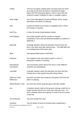| Forfeit                                                 | The loss of a game created when one team does not show<br>up to play by the time the game is scheduled to begin,                                                                                                     |    |
|---------------------------------------------------------|----------------------------------------------------------------------------------------------------------------------------------------------------------------------------------------------------------------------|----|
|                                                         | leaves the FOP during the game or there is less than the<br>minimum number of players to start or complete a game.                                                                                                   |    |
| Goal Judge                                              | One of the International Technical Officials (ITOs). Duties<br>described in the IBSA ITO Manual.                                                                                                                     |    |
| Half                                                    | A period of twelve (12) minutes in regulation time or three<br>(3) minutes in overtime.                                                                                                                              |    |
| <b>Half Time</b>                                        | A three (3) minute break between halves.                                                                                                                                                                             |    |
| <b>Hand Signals</b>                                     | Non-verbal signals used by coaches to request<br>substitutions, time-outs and declined penalties as outlined in<br>Appendix 1.                                                                                       |    |
| <b>High Ball</b>                                        | A penalty situation where the ball does not first touch the<br>floor in the team area after being thrown. The High Ball Line<br>is considered part of the team area.                                                 |    |
| <b>IBSA</b>                                             | <b>International Blind Sports Federation</b>                                                                                                                                                                         |    |
| Infraction                                              | Any violation of the rules which results in a loss of<br>possession instead of a penalty.                                                                                                                            |    |
| International<br>tournament                             | Any tournament where teams from two or more different<br>countries are participating.                                                                                                                                |    |
| Long Ball                                               | A penalty situation where the ball does not touch the floor<br>at least once in the neutral area after being thrown                                                                                                  |    |
| <b>Maximum Goal</b><br><b>Difference</b>                | Any time one team has scored ten (10) goals more than the<br>team it is playing.                                                                                                                                     |    |
| <b>Official Break in Play</b>                           | Any time the referee stops the game with their whistle.                                                                                                                                                              |    |
| Out                                                     | A situation where a ball on the ground crossing a side line no<br>longer touches the line (it is more than half way over). It is<br>also a situation where the majority of a ball in the air crosses<br>a side line. |    |
| Out of Bounds                                           | Any area outside the court.                                                                                                                                                                                          |    |
| Overtime<br>IBSA Goalball Rules and Regulations 2018-21 | Two (2) halves of three (3) minutes play to determine a                                                                                                                                                              |    |
| Version 1.1                                             | Date 1.1.2018                                                                                                                                                                                                        | 54 |